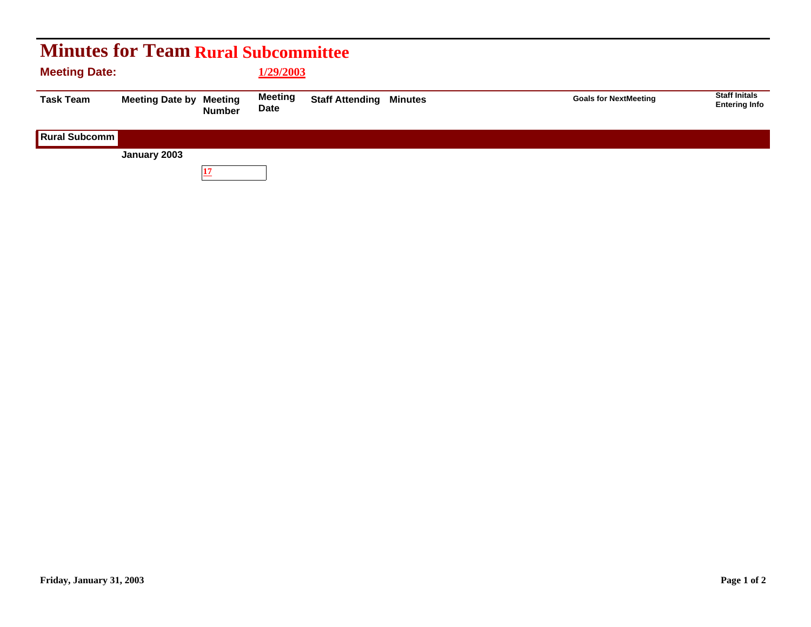| <b>Minutes for Team Rural Subcommittee</b> |                        |                          |                        |                                |  |                              |                                              |  |  |  |  |
|--------------------------------------------|------------------------|--------------------------|------------------------|--------------------------------|--|------------------------------|----------------------------------------------|--|--|--|--|
| <b>Meeting Date:</b>                       |                        |                          | 1/29/2003              |                                |  |                              |                                              |  |  |  |  |
| <b>Task Team</b>                           | <b>Meeting Date by</b> | Meeting<br><b>Number</b> | <b>Meeting</b><br>Date | <b>Staff Attending Minutes</b> |  | <b>Goals for NextMeeting</b> | <b>Staff Initals</b><br><b>Entering Info</b> |  |  |  |  |
| <b>Rural Subcomm</b>                       |                        |                          |                        |                                |  |                              |                                              |  |  |  |  |
|                                            | January 2003           |                          |                        |                                |  |                              |                                              |  |  |  |  |
|                                            |                        |                          |                        |                                |  |                              |                                              |  |  |  |  |